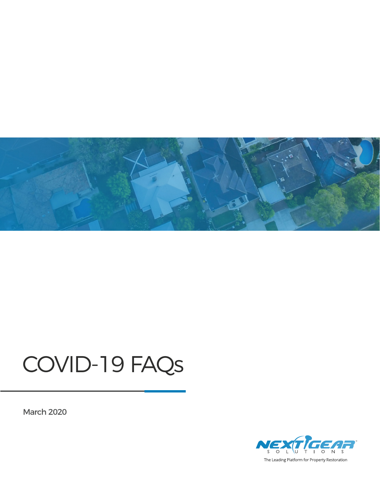

#### COVID-19 FAQs

March 2020



The Leading Platform for Property Restoration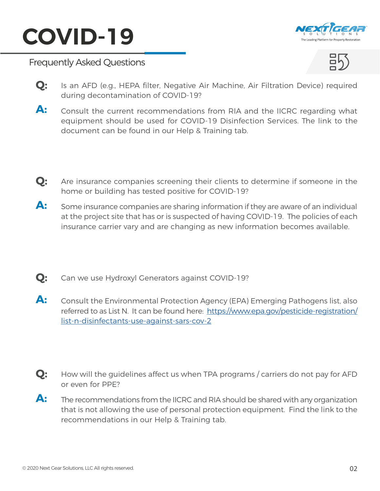



- Is an AFD (e.g., HEPA filter, Negative Air Machine, Air Filtration Device) required during decontamination of COVID-19? **Q:**
- Consult the current recommendations from RIA and the IICRC regarding what equipment should be used for COVID-19 Disinfection Services. The link to the document can be found in our Help & Training tab. **A:**
- Are insurance companies screening their clients to determine if someone in the home or building has tested positive for COVID-19? **Q:**
- Some insurance companies are sharing information if they are aware of an individual at the project site that has or is suspected of having COVID-19. The policies of each insurance carrier vary and are changing as new information becomes available. **A:**
- **Q:** Can we use Hydroxyl Generators against COVID-19?
- Consult the Environmental Protection Agency (EPA) Emerging Pathogens list, also referred to as List N. It can be found here: [https://www.epa.gov/pesticide-registration/](https://www.epa.gov/pesticide-registration/list-n-disinfectants-use-against-sars-cov-2) [list-n-disinfectants-use-against-sars-cov-2](https://www.epa.gov/pesticide-registration/list-n-disinfectants-use-against-sars-cov-2)  **A:**
- How will the guidelines affect us when TPA programs / carriers do not pay for AFD or even for PPE? **Q:**
- The recommendations from the IICRC and RIA should be shared with any organization that is not allowing the use of personal protection equipment. Find the link to the recommendations in our Help & Training tab. **A:**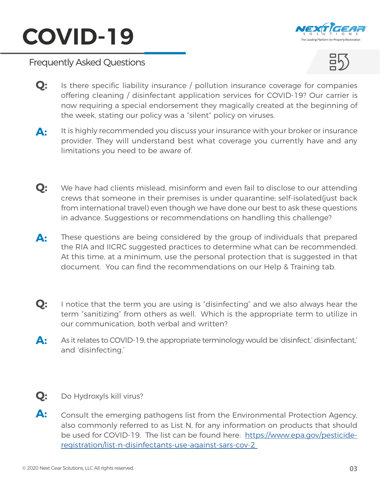



- Is there specific liability insurance / pollution insurance coverage for companies offering cleaning / disinfectant application services for COVID-19? Our carrier is now requiring a special endorsement they magically created at the beginning of the week, stating our policy was a "silent" policy on viruses. **Q:**
- It is highly recommended you discuss your insurance with your broker or insurance provider. They will understand best what coverage you currently have and any limitations you need to be aware of. **A:**
- We have had clients mislead, misinform and even fail to disclose to our attending crews that someone in their premises is under quarantine; self-isolated(just back from international travel) even though we have done our best to ask these questions in advance. Suggestions or recommendations on handling this challenge? **Q:**
- These questions are being considered by the group of individuals that prepared the RIA and IICRC suggested practices to determine what can be recommended. At this time, at a minimum, use the personal protection that is suggested in that document. You can find the recommendations on our Help & Training tab. **A:**
- I notice that the term you are using is "disinfecting" and we also always hear the term "sanitizing" from others as well. Which is the appropriate term to utilize in our communication, both verbal and written? **Q:**
- As it relates to COVID-19, the appropriate terminology would be 'disinfect,' disinfectant,' and 'disinfecting.' **A:**
- **Q:** Do Hydroxyls kill virus?
- Consult the emerging pathogens list from the Environmental Protection Agency, also commonly referred to as List N, for any information on products that should be used for COVID-19. The list can be found here: [https://www.epa.gov/pesticide](https://www.epa.gov/pesticide-registration/list-n-disinfectants-use-against-sars-cov-2 )[registration/list-n-disinfectants-use-against-sars-cov-2](https://www.epa.gov/pesticide-registration/list-n-disinfectants-use-against-sars-cov-2 )  **A:**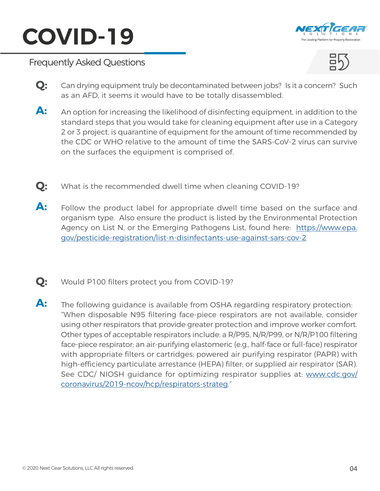



- Can drying equipment truly be decontaminated between jobs? Is it a concern? Such as an AFD, it seems it would have to be totally disassembled. **Q:**
- An option for increasing the likelihood of disinfecting equipment, in addition to the standard steps that you would take for cleaning equipment after use in a Category 2 or 3 project, is quarantine of equipment for the amount of time recommended by the CDC or WHO relative to the amount of time the SARS-CoV-2 virus can survive on the surfaces the equipment is comprised of. **A:**
- **Q:** What is the recommended dwell time when cleaning COVID-19?
- Follow the product label for appropriate dwell time based on the surface and organism type. Also ensure the product is listed by the Environmental Protection Agency on List N, or the Emerging Pathogens List, found here: [https://www.epa.](https://www.epa.gov/pesticide-registration/list-n-disinfectants-use-against-sars-cov-2) [gov/pesticide-registration/list-n-disinfectants-use-against-sars-cov-2](https://www.epa.gov/pesticide-registration/list-n-disinfectants-use-against-sars-cov-2)  **A:**
- **Q:** Would P100 filters protect you from COVID-19?
- The following guidance is available from OSHA regarding respiratory protection: "When disposable N95 filtering face-piece respirators are not available, consider using other respirators that provide greater protection and improve worker comfort. Other types of acceptable respirators include: a R/P95, N/R/P99, or N/R/P100 filtering face-piece respirator; an air-purifying elastomeric (e.g., half-face or full-face) respirator with appropriate filters or cartridges; powered air purifying respirator (PAPR) with high-efficiency particulate arrestance (HEPA) filter; or supplied air respirator (SAR). See CDC/ NIOSH guidance for optimizing respirator supplies at: [www.cdc.gov/](http://www.cdc.gov/coronavirus/2019-ncov/hcp/respirators-strateg) [coronavirus/2019-ncov/hcp/respirators-strateg](http://www.cdc.gov/coronavirus/2019-ncov/hcp/respirators-strateg)." **A:**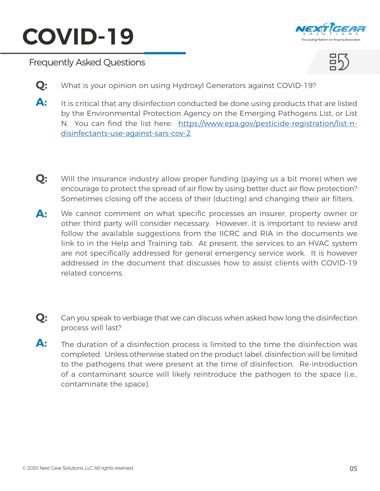



- **Q:** What is your opinion on using Hydroxyl Generators against COVID-19?
- It is critical that any disinfection conducted be done using products that are listed by the Environmental Protection Agency on the Emerging Pathogens List, or List N. You can find the list here: [https://www.epa.gov/pesticide-registration/list-n](https://www.epa.gov/pesticide-registration/list-n-disinfectants-use-against-sars-cov-2)[disinfectants-use-against-sars-cov-2](https://www.epa.gov/pesticide-registration/list-n-disinfectants-use-against-sars-cov-2) **A:**
- Will the insurance industry allow proper funding (paying us a bit more) when we encourage to protect the spread of air flow by using better duct air flow protection? Sometimes closing off the access of their (ducting) and changing their air filters. **Q:**
- We cannot comment on what specific processes an insurer, property owner or other third party will consider necessary. However, it is important to review and follow the available suggestions from the IICRC and RIA in the documents we link to in the Help and Training tab. At present, the services to an HVAC system are not specifically addressed for general emergency service work. It is however addressed in the document that discusses how to assist clients with COVID-19 related concerns. **A:**
- Can you speak to verbiage that we can discuss when asked how long the disinfection process will last? **Q:**
- The duration of a disinfection process is limited to the time the disinfection was completed. Unless otherwise stated on the product label, disinfection will be limited to the pathogens that were present at the time of disinfection. Re-introduction of a contaminant source will likely reintroduce the pathogen to the space (i.e., contaminate the space). **A:**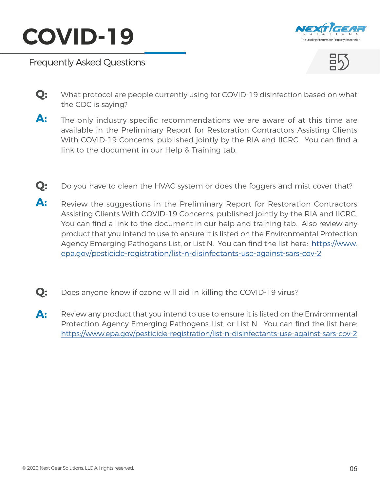





- What protocol are people currently using for COVID-19 disinfection based on what the CDC is saying? **Q:**
- The only industry specific recommendations we are aware of at this time are available in the Preliminary Report for Restoration Contractors Assisting Clients With COVID-19 Concerns, published jointly by the RIA and IICRC. You can find a link to the document in our Help & Training tab. **A:**
- **Q:** Do you have to clean the HVAC system or does the foggers and mist cover that?
- Review the suggestions in the Preliminary Report for Restoration Contractors Assisting Clients With COVID-19 Concerns, published jointly by the RIA and IICRC. You can find a link to the document in our help and training tab. Also review any product that you intend to use to ensure it is listed on the Environmental Protection Agency Emerging Pathogens List, or List N. You can find the list here: [https://www.](https://www.epa.gov/pesticide-registration/list-n-disinfectants-use-against-sars-cov-2) [epa.gov/pesticide-registration/list-n-disinfectants-use-against-sars-cov-2](https://www.epa.gov/pesticide-registration/list-n-disinfectants-use-against-sars-cov-2) **A:**
- **Q:** Does anyone know if ozone will aid in killing the COVID-19 virus?
- Review any product that you intend to use to ensure it is listed on the Environmental Protection Agency Emerging Pathogens List, or List N. You can find the list here: [https://www.epa.gov/pesticide-registration/list-n-disinfectants-use-against-sars-cov-2](https://www.epa.gov/pesticide-registration/list-n-disinfectants-use-against-sars-cov-2 ) **A:**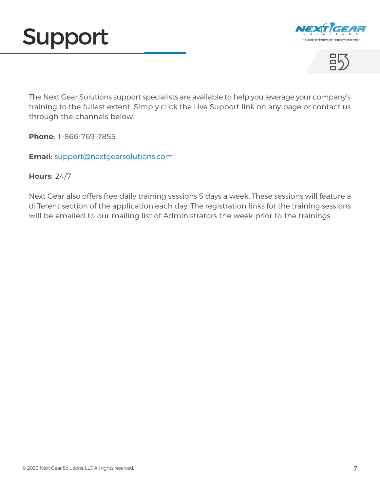





The Next Gear Solutions support specialists are available to help you leverage your company's training to the fullest extent. Simply click the Live Support link on any page or contact us through the channels below.

**Phone:** 1-866-769-7855

**Email:** [support@nextgearsolutions.com](mailto:support%40nextgearsolutions.com?subject=)

#### **Hours:** 24/7

Next Gear also offers free daily training sessions 5 days a week. These sessions will feature a different section of the application each day. The registration links for the training sessions will be emailed to our mailing list of Administrators the week prior to the trainings.